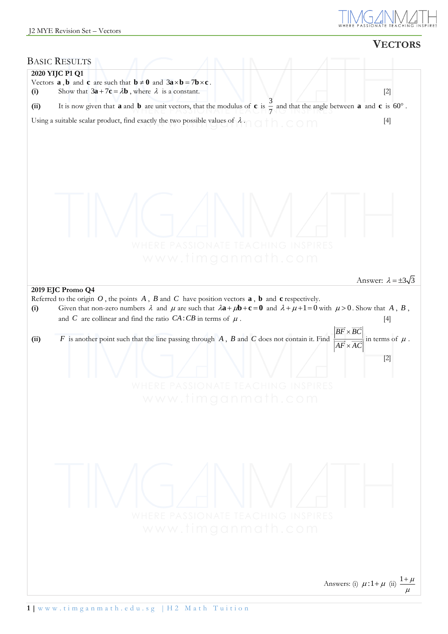

|                        |                                                                                                                                                                                                                                                                                                                                                                                                                                                                                                           | <b>VECTORS</b>                                                                       |
|------------------------|-----------------------------------------------------------------------------------------------------------------------------------------------------------------------------------------------------------------------------------------------------------------------------------------------------------------------------------------------------------------------------------------------------------------------------------------------------------------------------------------------------------|--------------------------------------------------------------------------------------|
| <b>BASIC RESULTS</b>   |                                                                                                                                                                                                                                                                                                                                                                                                                                                                                                           |                                                                                      |
| 2020 YIJC P1 Q1<br>(i) | Vectors <b>a</b> , <b>b</b> and <b>c</b> are such that $\mathbf{b} \neq 0$ and $3\mathbf{a} \times \mathbf{b} = 7\mathbf{b} \times \mathbf{c}$ .<br>Show that $3a + 7c = \lambda b$ , where $\lambda$ is a constant.                                                                                                                                                                                                                                                                                      | $[2]$                                                                                |
| (ii)                   | It is now given that <b>a</b> and <b>b</b> are unit vectors, that the modulus of <b>c</b> is $\frac{3}{4}$ and that the angle between <b>a</b> and <b>c</b> is 60°.                                                                                                                                                                                                                                                                                                                                       |                                                                                      |
|                        | Using a suitable scalar product, find exactly the two possible values of $\lambda \cdot \cap \Box \mid \bigcap$ , $\subset \bigcirc \cap \bigcap$                                                                                                                                                                                                                                                                                                                                                         | $[4]$                                                                                |
|                        | <b>ASSIONATE TEACHING INSPIRES</b><br>www.timganmath.com                                                                                                                                                                                                                                                                                                                                                                                                                                                  |                                                                                      |
|                        |                                                                                                                                                                                                                                                                                                                                                                                                                                                                                                           | Answer: $\lambda = \pm 3\sqrt{3}$                                                    |
| (i)<br>(ii)            | Referred to the origin $O$ , the points $A$ , $B$ and $C$ have position vectors $\bf{a}$ , $\bf{b}$ and $\bf{c}$ respectively.<br>Given that non-zero numbers $\lambda$ and $\mu$ are such that $\lambda \mathbf{a} + \mu \mathbf{b} + \mathbf{c} = \mathbf{0}$ and $\lambda + \mu + 1 = 0$ with $\mu > 0$ . Show that A, B,<br>and C are collinear and find the ratio $CA:CB$ in terms of $\mu$ .<br>$F$ is another point such that the line passing through $A$ , $B$ and $C$ does not contain it. Find | $[4]$<br>$BF \times BC$<br>in terms of $\mu$ .<br>$\overline{AF} \times AC$<br>$[2]$ |
|                        | WHERE PASSIONATE TEACHING INSPIRES<br>www.timganmath.com                                                                                                                                                                                                                                                                                                                                                                                                                                                  |                                                                                      |
|                        | WHERE PASSIONATE TEACHING INSPIRES<br>www.timganmath.com                                                                                                                                                                                                                                                                                                                                                                                                                                                  |                                                                                      |
|                        |                                                                                                                                                                                                                                                                                                                                                                                                                                                                                                           | $rac{1+\mu}{\sigma}$<br>Answers: (i) $\mu$ :1+ $\mu$ (ii)                            |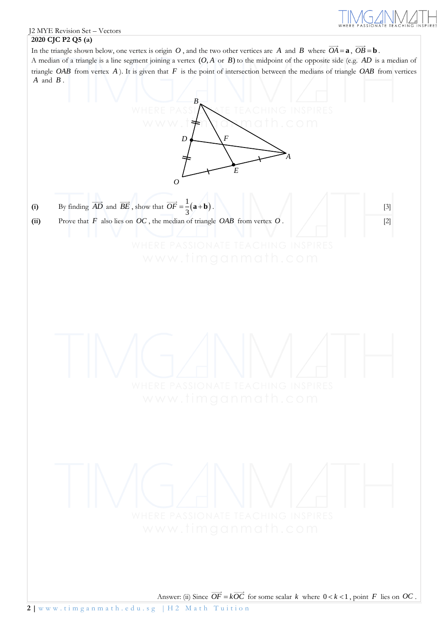

### J2 MYE Revision Set – Vectors **2020 CJC P2 Q5 (a)**

In the triangle shown below, one vertex is origin O, and the two other vertices are A and B where  $OA = \mathbf{a}$ ,  $OB = \mathbf{b}$ . A median of a triangle is a line segment joining a vertex  $(O, A \text{ or } B)$  to the midpoint of the opposite side (e.g.  $AD$  is a median of triangle OAB from vertex  $A$ ). It is given that  $F$  is the point of intersection between the medians of triangle OAB from vertices *A* and *<sup>B</sup>* .

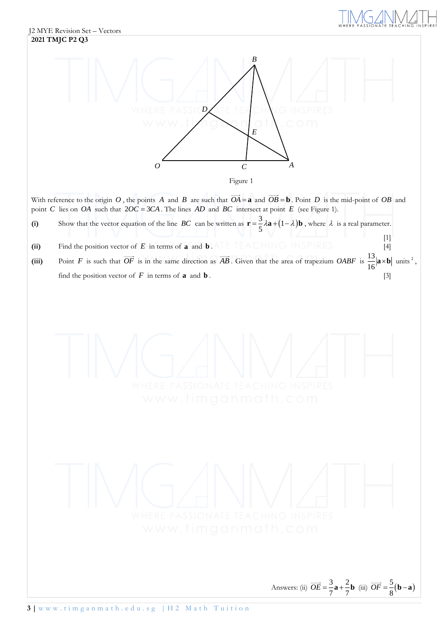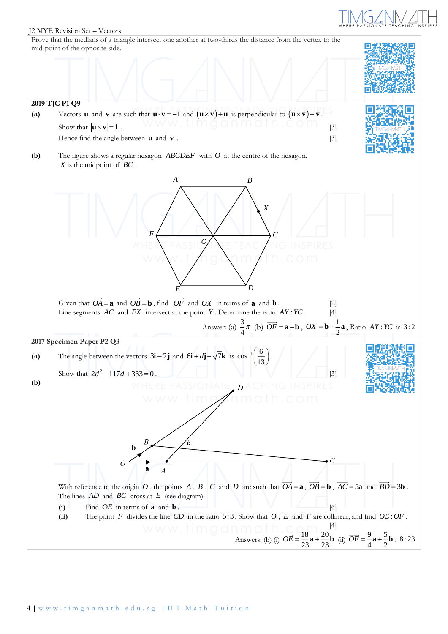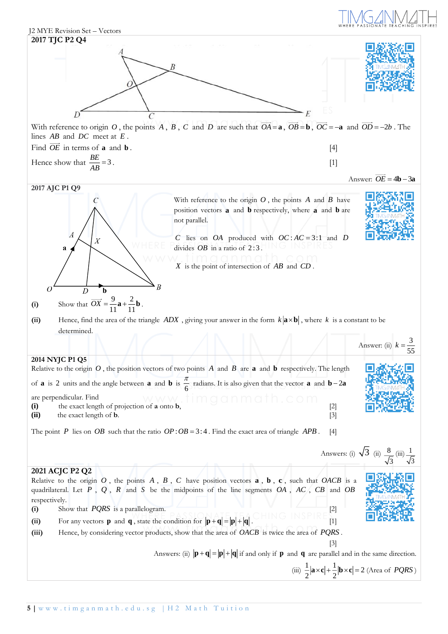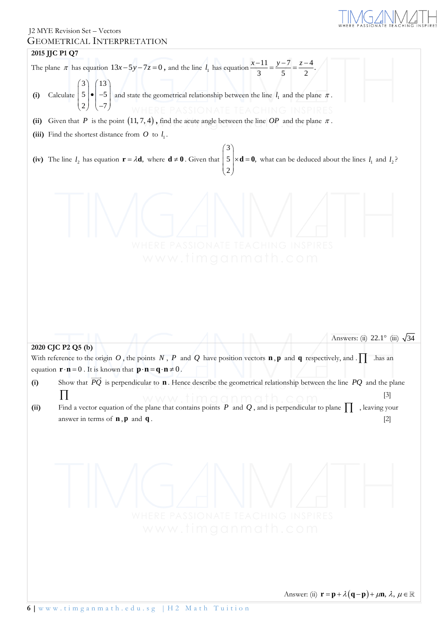$(\neg$  $\prod_{R\,E\,S}$ 

Answer: (ii)  $\mathbf{r} = \mathbf{p} + \lambda(\mathbf{q} - \mathbf{p}) + \mu \mathbf{n}, \lambda, \mu \in$ 

# J2 MYE Revision Set – Vectors GEOMETRICAL INTERPRETATION

# **2015 JJC P1 Q7**

|      | JEOMETRICAL INTERPRETATION                                                                                                                                                                                                                                                                                                                             |
|------|--------------------------------------------------------------------------------------------------------------------------------------------------------------------------------------------------------------------------------------------------------------------------------------------------------------------------------------------------------|
|      | 2015 JJC P1 Q7                                                                                                                                                                                                                                                                                                                                         |
|      | The plane $\pi$ has equation $13x-5y-7z=0$ , and the line $l_1$ has equation $\frac{x-11}{3} = \frac{y-7}{5} = \frac{z-4}{2}$ .                                                                                                                                                                                                                        |
| (i)  | Calculate $\begin{pmatrix} 3 \\ 5 \\ 2 \end{pmatrix} \cdot \begin{pmatrix} 13 \\ -5 \\ -7 \end{pmatrix}$ and state the geometrical relationship between the line $l_1$ and the plane $\pi$ .                                                                                                                                                           |
|      | <b>TE TEACHING INSPIRES</b>                                                                                                                                                                                                                                                                                                                            |
|      | (ii) Given that P is the point $(11, 7, 4)$ , find the acute angle between the line OP and the plane $\pi$ .                                                                                                                                                                                                                                           |
|      | (iii) Find the shortest distance from $O$ to $l_1$ .                                                                                                                                                                                                                                                                                                   |
|      |                                                                                                                                                                                                                                                                                                                                                        |
|      | (iv) The line $l_2$ has equation $\mathbf{r} = \lambda \mathbf{d}$ , where $\mathbf{d} \neq \mathbf{0}$ . Given that $\begin{pmatrix} 5 \\ 5 \\ 2 \end{pmatrix} \times \mathbf{d} = \mathbf{0}$ , what can be deduced about the lines $l_1$ and $l_2$ ?                                                                                                |
|      | www.timganmath.com                                                                                                                                                                                                                                                                                                                                     |
|      | Answers: (ii) 22.1° (iii) $\sqrt{34}$<br>2020 CJC P2 Q5 (b)<br>With reference to the origin O, the points N, P and Q have position vectors $\bf{n}$ , $\bf{p}$ and $\bf{q}$ respectively, and $\Gamma$<br>has an<br>equation $\mathbf{r} \cdot \mathbf{n} = 0$ . It is known that $\mathbf{p} \cdot \mathbf{n} = \mathbf{q} \cdot \mathbf{n} \neq 0$ . |
| (i)  | Show that $\overrightarrow{PQ}$ is perpendicular to <b>n</b> . Hence describe the geometrical relationship between the line PQ and the plane                                                                                                                                                                                                           |
|      | 11<br>$[3]$                                                                                                                                                                                                                                                                                                                                            |
| (ii) | Find a vector equation of the plane that contains points P and Q, and is perpendicular to plane $\prod$ , leaving your                                                                                                                                                                                                                                 |
|      | answer in terms of $\mathbf{n}, \mathbf{p}$ and $\mathbf{q}$ .<br>$[2]$                                                                                                                                                                                                                                                                                |
|      | ATE TEACHING INSPIRES<br>www.timganmath.com                                                                                                                                                                                                                                                                                                            |
|      |                                                                                                                                                                                                                                                                                                                                                        |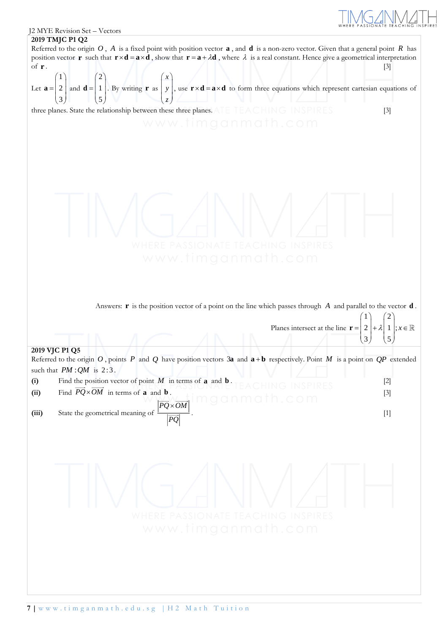

 $2$   $|+\lambda|$  1  $|$ ; 3 | 15

 $\begin{pmatrix} 2 \\ 3 \end{pmatrix}$  +  $\lambda \begin{pmatrix} 1 \\ 5 \end{pmatrix}$ ;  $x \in$ 

### J2 MYE Revision Set – Vectors





three planes. State the relationship between these three planes. ATE TEACHING INSPIRES [3]



Answers:  $\mathbf{r}$  is the position vector of a point on the line which passes through  $A$  and parallel to the vector  $\mathbf{d}$ . Planes intersect at the line  $\mathbf{r}$  =  $1 \setminus 2$  $\begin{pmatrix} 1 \\ 2 \end{pmatrix}$  +  $\lambda \begin{pmatrix} 2 \\ 1 \end{pmatrix}$  :  $x$ 

# **2019 VJC P1 Q5**

Referred to the origin O, points P and Q have position vectors 3**a** and  $\mathbf{a} + \mathbf{b}$  respectively. Point M is a point on  $QP$  extended such that  $PM : QM$  is  $2:3$ .

**(i)** Find the position vector of point *M* in terms of **a** and  $\mathbf{b}$  .  $\mathbf{c}$  . The property of  $\mathbf{c}$ (ii) Find  $PQ \times OM$  in terms of **a** and **b** . [3] **(iii)** State the geometrical meaning of *PQ*×OM *PQ* × .  $[1]$ 

$$
\bigvee \bigvee_{\mathsf{WHERE\;PASSIONATE\;TEACHING\;INSPIRES}}\bigwedge_{\mathsf{WWW}.\mathsf{time}\; \mathsf{I}}\bigvee_{\mathsf{HNSPIRES}}\bigwedge_{\mathsf{HNSPIRES}}\bigwedge_{\mathsf{HMSPIRES}}
$$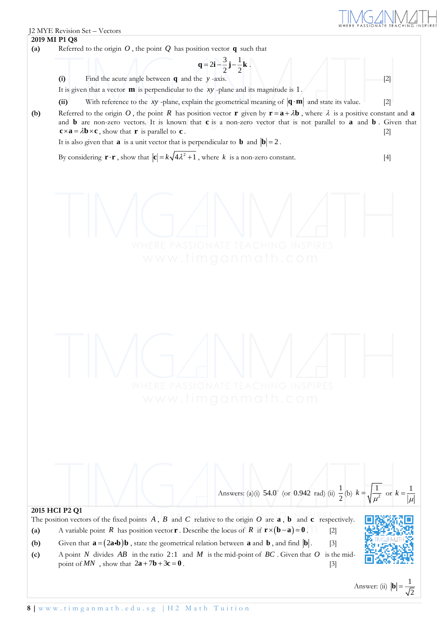**(a)** Referred to the origin  $O$ , the point  $Q$  has position vector  $q$  such that

**(i)** Find the acute angle between **q** and the *<sup>y</sup>* -axis. [2]

J2 MYE Revision Set – Vectors

**2019 MI P1 Q8**

It is given that a vector **m** is perpendicular to the xy-plane and its magnitude is 1.

(ii) With reference to the xy -plane, explain the geometrical meaning of  $|\mathbf{q} \cdot \mathbf{m}|$  and state its value. [2]

 $q = 2i - \frac{3}{2}j - \frac{1}{2}k$ .

**(b)** Referred to the origin O, the point R has position vector **r** given by  $\mathbf{r} = \mathbf{a} + \lambda \mathbf{b}$ , where  $\lambda$  is a positive constant and **a** and **b** are non-zero vectors. It is known that **c** is a non-zero vector that is not parallel to **a** and **b**. Given that  $\mathbf{c} \times \mathbf{a} = \lambda \mathbf{b} \times \mathbf{c}$ , show that **r** is parallel to **<sup>c</sup>** . [2]

It is also given that **a** is a unit vector that is perpendicular to **b** and  $|\mathbf{b}| = 2$ .

By considering  $\mathbf{r} \cdot \mathbf{r}$ , show that  $|\mathbf{c}| = k \sqrt{4\lambda^2 + 1}$ , where k is a non-zero constant. [4]

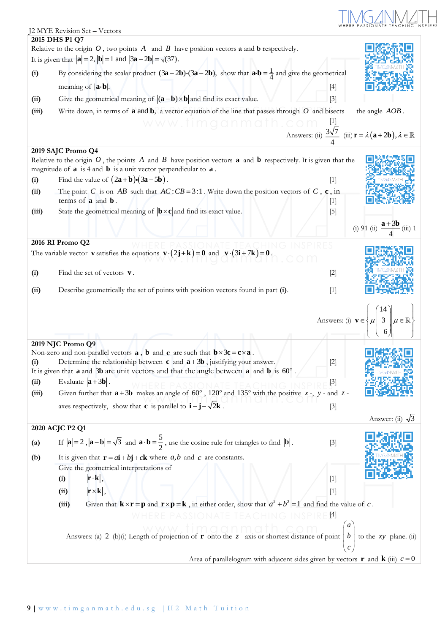# TIMOZINALITH

|                   | J2 MYE Revision Set - Vectors                                                                                                                                                                                               |                  |                                                                                                                                                     |
|-------------------|-----------------------------------------------------------------------------------------------------------------------------------------------------------------------------------------------------------------------------|------------------|-----------------------------------------------------------------------------------------------------------------------------------------------------|
|                   | 2015 DHS P1 Q7                                                                                                                                                                                                              |                  |                                                                                                                                                     |
|                   | Relative to the origin $O$ , two points $A$ and $B$ have position vectors <b>a</b> and <b>b</b> respectively.<br>It is given that $ \mathbf{a}  = 2$ , $ \mathbf{b}  = 1$ and $ 3\mathbf{a} - 2\mathbf{b}  = \sqrt{(37)}$ . |                  |                                                                                                                                                     |
|                   |                                                                                                                                                                                                                             |                  |                                                                                                                                                     |
| (i)               | By considering the scalar product $(3\mathbf{a} - 2\mathbf{b}) \cdot (3\mathbf{a} - 2\mathbf{b})$ , show that $\mathbf{a} \cdot \mathbf{b} = \frac{1}{4}$ and give the geometrical                                          |                  |                                                                                                                                                     |
|                   | meaning of $ {\bf a} \cdot {\bf b} $ .                                                                                                                                                                                      | $[4]$            |                                                                                                                                                     |
| (ii)              | Give the geometrical meaning of $ (\mathbf{a}-\mathbf{b})\times\mathbf{b} $ and find its exact value.                                                                                                                       | $[3]$            |                                                                                                                                                     |
| (iii)             | Write down, in terms of <b>a</b> and <b>b</b> , a vector equation of the line that passes through $O$ and bisects                                                                                                           |                  | the angle AOB.                                                                                                                                      |
|                   | www.fimganmath.cor                                                                                                                                                                                                          |                  |                                                                                                                                                     |
|                   |                                                                                                                                                                                                                             |                  | Answers: (ii) $\frac{3\sqrt{7}}{4}$ (iii) $\mathbf{r} = \lambda(\mathbf{a} + 2\mathbf{b}), \lambda \in \mathbb{R}$                                  |
|                   | 2019 SAJC Promo Q4                                                                                                                                                                                                          |                  |                                                                                                                                                     |
|                   | Relative to the origin $O$ , the points A and B have position vectors <b>a</b> and <b>b</b> respectively. It is given that the                                                                                              |                  |                                                                                                                                                     |
|                   | magnitude of $\bf{a}$ is 4 and $\bf{b}$ is a unit vector perpendicular to $\bf{a}$ .                                                                                                                                        |                  |                                                                                                                                                     |
| (i)               | Find the value of $(2a+b)\cdot(3a-5b)$ .                                                                                                                                                                                    | $[1]$            |                                                                                                                                                     |
| (ii)              | The point C is on AB such that $AC:CB = 3:1$ . Write down the position vectors of C, c, in                                                                                                                                  |                  |                                                                                                                                                     |
|                   | terms of <b>a</b> and <b>b</b> .                                                                                                                                                                                            | $[1]$            |                                                                                                                                                     |
| (iii)             | State the geometrical meaning of $\mathbf{b} \times \mathbf{c}$ and find its exact value.                                                                                                                                   | $[5]$            |                                                                                                                                                     |
|                   |                                                                                                                                                                                                                             |                  | (i) 91 (ii) $\frac{a + 3b}{4}$ (iii) 1                                                                                                              |
|                   |                                                                                                                                                                                                                             |                  |                                                                                                                                                     |
|                   | 2016 RI Promo Q2                                                                                                                                                                                                            |                  |                                                                                                                                                     |
|                   | The variable vector <b>v</b> satisfies the equations $\mathbf{v} \cdot (2\mathbf{j} + \mathbf{k}) = \mathbf{0}$ and $\mathbf{v} \cdot (3\mathbf{i} + 7\mathbf{k}) = \mathbf{0}$ .                                           |                  |                                                                                                                                                     |
| (i)               | Find the set of vectors $\mathbf{v}$ .                                                                                                                                                                                      | $[2]$            |                                                                                                                                                     |
|                   |                                                                                                                                                                                                                             |                  |                                                                                                                                                     |
| (ii)              | Describe geometrically the set of points with position vectors found in part (i).                                                                                                                                           | $[1]$            |                                                                                                                                                     |
|                   |                                                                                                                                                                                                                             |                  |                                                                                                                                                     |
|                   |                                                                                                                                                                                                                             |                  |                                                                                                                                                     |
|                   |                                                                                                                                                                                                                             |                  | Answers: (i) $\mathbf{v} \in \left\{ \mu \middle  \begin{array}{c} 1 \le \lambda \\ 3 \le \lambda \end{array} \middle  \mu \in \mathbb{R} \right\}$ |
|                   |                                                                                                                                                                                                                             |                  |                                                                                                                                                     |
|                   | 2019 NJC Promo Q9                                                                                                                                                                                                           |                  |                                                                                                                                                     |
| (i)               | Non-zero and non-parallel vectors $\bf{a}$ , $\bf{b}$ and $\bf{c}$ are such that $\bf{b} \times 3\bf{c} = \bf{c} \times \bf{a}$ .<br>Determine the relationship between <b>c</b> and $a + 3b$ , justifying your answer.     | $[2]$            |                                                                                                                                                     |
|                   | It is given that $\bf{a}$ and $\bf{3b}$ are unit vectors and that the angle between $\bf{a}$ and $\bf{b}$ is $\bf{60}^{\circ}$ .                                                                                            |                  |                                                                                                                                                     |
| (ii)              | Evaluate $ \mathbf{a} + 3\mathbf{b} $ .                                                                                                                                                                                     | $[3]$            |                                                                                                                                                     |
| (iii)             | Given further that $a + 3b$ makes an angle of 60°, 120° and 135° with the positive x-, y- and z-                                                                                                                            |                  |                                                                                                                                                     |
|                   | axes respectively, show that <b>c</b> is parallel to $\mathbf{i} - \mathbf{j} - \sqrt{2\mathbf{k}}$ .                                                                                                                       | $[3]$            |                                                                                                                                                     |
|                   |                                                                                                                                                                                                                             |                  |                                                                                                                                                     |
|                   | 2020 ACJC P2 Q1                                                                                                                                                                                                             |                  | Answer: (ii) $\sqrt{3}$                                                                                                                             |
|                   |                                                                                                                                                                                                                             |                  |                                                                                                                                                     |
| $\left( a\right)$ | If $ \mathbf{a}  = 2$ , $ \mathbf{a} - \mathbf{b}  = \sqrt{3}$ and $\mathbf{a} \cdot \mathbf{b} = \frac{5}{2}$ , use the cosine rule for triangles to find $ \mathbf{b} $ .                                                 | $[3]$            |                                                                                                                                                     |
| (b)               | It is given that $\mathbf{r} = a\mathbf{i} + b\mathbf{j} + c\mathbf{k}$ where a,b and c are constants.                                                                                                                      |                  |                                                                                                                                                     |
|                   | Give the geometrical interpretations of                                                                                                                                                                                     |                  |                                                                                                                                                     |
|                   | $ \mathbf{r} \cdot \mathbf{k} $ ,<br>(i)                                                                                                                                                                                    | $[1]$            |                                                                                                                                                     |
|                   | $ \mathbf{r} \times \mathbf{k} $ ,<br>(ii)                                                                                                                                                                                  | $[1]$            |                                                                                                                                                     |
|                   | Given that $\mathbf{k} \times \mathbf{r} = \mathbf{p}$ and $\mathbf{r} \times \mathbf{p} = \mathbf{k}$ , in either order, show that $a^2 + b^2 = 1$ and find the value of c.<br>(iii)                                       |                  |                                                                                                                                                     |
|                   |                                                                                                                                                                                                                             | 4                |                                                                                                                                                     |
|                   |                                                                                                                                                                                                                             | $\boldsymbol{a}$ |                                                                                                                                                     |
|                   | Answers: (a) 2 (b)(i) Length of projection of <b>r</b> onto the z - axis or shortest distance of point   b                                                                                                                  |                  | to the $xy$ plane. (ii)                                                                                                                             |
|                   |                                                                                                                                                                                                                             |                  |                                                                                                                                                     |
|                   | Area of parallelogram with adjacent sides given by vectors <b>r</b> and <b>k</b> (iii) $c = 0$                                                                                                                              |                  |                                                                                                                                                     |
|                   |                                                                                                                                                                                                                             |                  |                                                                                                                                                     |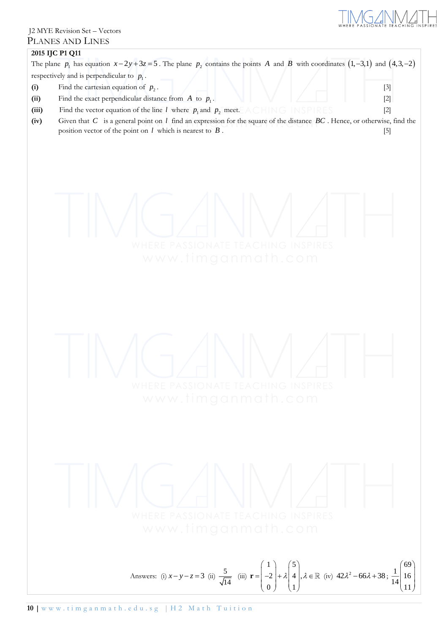

# J2 MYE Revision Set – Vectors PLANES AND LINES

| (i)<br>(ii)<br>(iii)<br>(iv) | 2015 IJC P1 Q11<br>The plane $p_1$ has equation $x-2y+3z=5$ . The plane $p_2$ contains the points A and B with coordinates $(1,-3,1)$ and $(4,3,-2)$<br>respectively and is perpendicular to $p_1$ .<br>Find the cartesian equation of $p_2$ .<br>$[3]$<br>Find the exact perpendicular distance from $A$ to $p_1$ .<br>$[2]$<br>Find the vector equation of the line <i>l</i> where $p_1$ and $p_2$ meet. A CHING INSPIRES<br>$[2]$<br>Given that $C$ is a general point on $l$ find an expression for the square of the distance $BC$ . Hence, or otherwise, find the<br>position vector of the point on $l$ which is nearest to $B$ .<br>$[5]$ |
|------------------------------|---------------------------------------------------------------------------------------------------------------------------------------------------------------------------------------------------------------------------------------------------------------------------------------------------------------------------------------------------------------------------------------------------------------------------------------------------------------------------------------------------------------------------------------------------------------------------------------------------------------------------------------------------|
|                              | <b>TEACHING INSPIRES</b><br>www.timganmath.com                                                                                                                                                                                                                                                                                                                                                                                                                                                                                                                                                                                                    |
|                              | www.timganmath.com                                                                                                                                                                                                                                                                                                                                                                                                                                                                                                                                                                                                                                |
|                              | HERE PASSIONATE TEACHING INSPIRES<br>www.timganmath.com                                                                                                                                                                                                                                                                                                                                                                                                                                                                                                                                                                                           |
|                              | Answers: (i) $x - y - z = 3$ (ii) $\frac{5}{\sqrt{14}}$ (iii) $\mathbf{r} = \begin{pmatrix} 1 \\ -2 \\ 0 \end{pmatrix} + \lambda \begin{pmatrix} 5 \\ 4 \\ 1 \end{pmatrix}, \lambda \in \mathbb{R}$ (iv) $42\lambda^2 - 66\lambda + 38$ ; $\frac{1}{14} \begin{pmatrix} 69 \\ 16 \\ 11 \end{pmatrix}$                                                                                                                                                                                                                                                                                                                                             |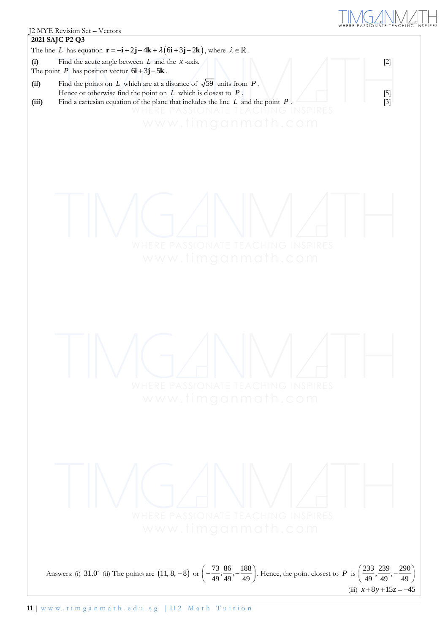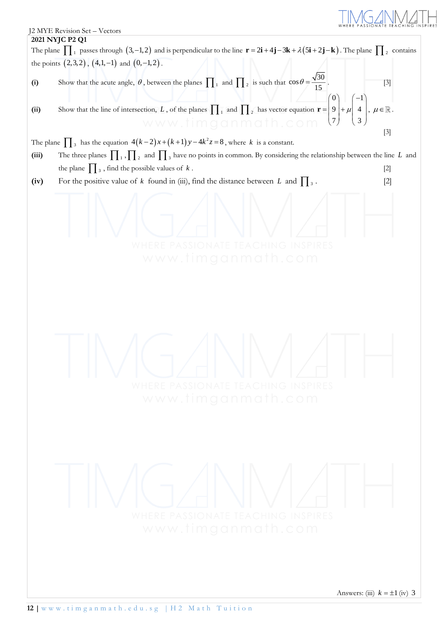

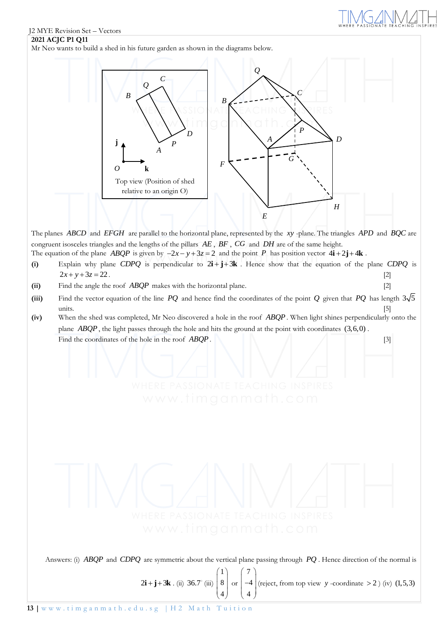# J2 MYE Revision Set – Vectors

## **2021 ACJC P1 Q11**

Mr Neo wants to build a shed in his future garden as shown in the diagrams below.



The planes *ABCD* and *EFGH* are parallel to the horizontal plane, represented by the *xy* -plane. The triangles *APD* and *BQC* are congruent isosceles triangles and the lengths of the pillars *AE* , *BF* , *CG* and *DH* are of the same height. The equation of the plane *ABQP* is given by  $-2x - y + 3z = 2$  and the point *P* has position vector  $4\mathbf{i} + 2\mathbf{j} + 4\mathbf{k}$ .

- (i) Explain why plane CDPQ is perpendicular to  $2\mathbf{i} + \mathbf{j} + 3\mathbf{k}$ . Hence show that the equation of the plane CDPQ is  $2x + y + 3z = 22$ .
- **(ii)** Find the angle the roof *ABQP* makes with the horizontal plane. [2]
- (iii) Find the vector equation of the line  $PQ$  and hence find the coordinates of the point  $Q$  given that  $PQ$  has length  $3\sqrt{5}$  $units.$  [5]
- **(iv)** When the shed was completed, Mr Neo discovered a hole in the roof *ABQP* . When light shines perpendicularly onto the plane *ABQP*, the light passes through the hole and hits the ground at the point with coordinates (3,6,0). Find the coordinates of the hole in the roof *ABQP*.

Answers: (i) *ABQP* and *CDPQ* are symmetric about the vertical plane passing through *PQ* . Hence direction of the normal is

 $2i + j + 3k$ . (ii) 36.7° (iii)  $\begin{bmatrix} 1 \\ 8 \end{bmatrix}$ 4  $\binom{1}{2}$  $\binom{8}{4}$ or  $\begin{bmatrix} 7 \\ -4 \end{bmatrix}$  $\begin{pmatrix} 7 \\ -4 \\ 4 \end{pmatrix}$  (reject, from top view *y* -coordinate > 2 ) (iv) 4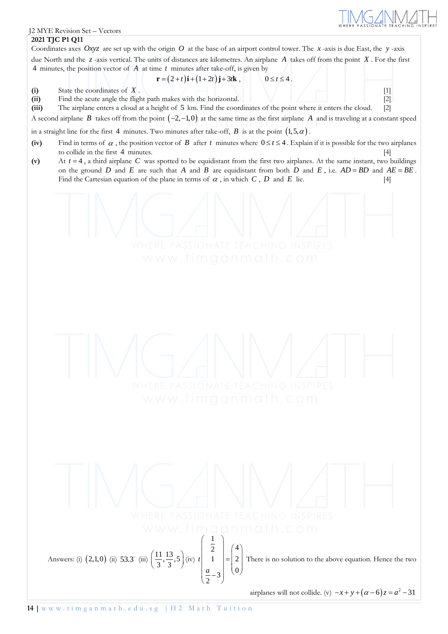

### **2021 TJC P1 Q11**

Coordinates axes Oxyz are set up with the origin O at the base of an airport control tower. The x-axis is due East, the y-axis due North and the *<sup>z</sup>* -axis vertical. The units of distances are kilometres. An airplane *A* takes off from the point *X* . For the first 4 minutes, the position vector of *A* at time *t* minutes after take-off, is given by

$$
\mathbf{r} = (2+t)\mathbf{i} + (1+2t)\mathbf{j} + 3t\mathbf{k}, \qquad 0 \le t \le 4.
$$

**(i)** State the coordinates of

 $X \cdot \setminus \begin{array}{c|c} |1 \end{array}$   $\setminus \begin{array}{c|c} |1 \end{array}$   $\setminus \begin{array}{c|c} |1 \end{array}$   $\setminus \begin{array}{c|c} |1 \end{array}$ 

**(ii)** Find the acute angle the flight path makes with the horizontal. [2]

**(iii)** The airplane enters a cloud at a height of 5 km. Find the coordinates of the point where it enters the cloud. [2]

A second airplane  $B$  takes off from the point  $(-2,-1,0)$  at the same time as the first airplane  $A$  and is traveling at a constant speed

in a straight line for the first 4 minutes. Two minutes after take-off,  $B$  is at the point  $(1,5,\alpha)$  .

- (iv) Find in terms of  $\alpha$ , the position vector of  $B$  after  $t$  minutes where  $0 \le t \le 4$ . Explain if it is possible for the two airplanes to collide in the first 4 minutes. [4]
- (v) At  $t = 4$ , a third airplane C was spotted to be equidistant from the first two airplanes. At the same instant, two buildings on the ground D and E are such that A and B are equidistant from both D and E, i.e.  $AD = BD$  and  $AE = BE$ . Find the Cartesian equation of the plane in terms of  $\alpha$ , in which  $C$ ,  $D$  and  $E$  $\text{lie.} \qquad \qquad \text{[4]}$

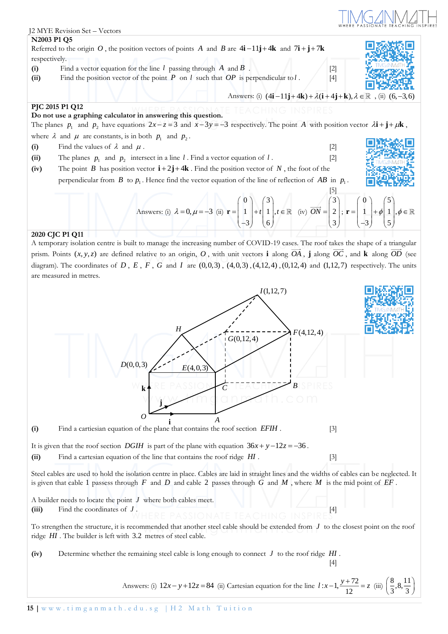

A temporary isolation centre is built to manage the increasing number of COVID-19 cases. The roof takes the shape of a triangular prism. Points  $(x, y, z)$  are defined relative to an origin, O, with unit vectors **i** along OA, **j** along OC, and **k** along OD (see diagram). The coordinates of D, E, F, G and I are  $(0,0,3)$ ,  $(4,0,3)$ ,  $(4,12,4)$ ,  $(0,12,4)$  and  $(1,12,7)$  respectively. The units are measured in metres.

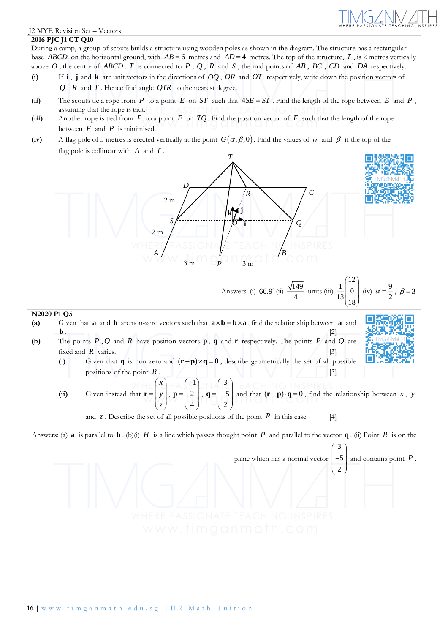

#### J2 MYE Revision Set – Vectors

#### **2016 PJC J1 CT Q10**

During a camp, a group of scouts builds a structure using wooden poles as shown in the diagram. The structure has a rectangular base *ABCD* on the horizontal ground, with  $AB = 6$  metres and  $AD = 4$  metres. The top of the structure, T, is 2 metres vertically above  $O$ , the centre of *ABCD* .  $T$  is connected to  $P$ ,  $Q$ ,  $R$  and  $S$ , the mid-points of  $AB$ ,  $BC$ ,  $CD$  and  $DA$  respectively.

- (i) **i**, **j** and **k** are unit vectors in the directions of OQ, OR and OT respectively, write down the position vectors of *Q* , *<sup>R</sup>* and *T* . Hence find angle *QTR* to the nearest degree.
- (ii) The scouts tie a rope from P to a point E on ST such that  $4SE = ST$ . Find the length of the rope between E and P, assuming that the rope is taut.
- **(iii)** Another rope is tied from *P* to a point *<sup>F</sup>* on *TQ* . Find the position vector of *F* such that the length of the rope between  $F$  and  $P$  is minimised.
- (iv) A flag pole of 5 metres is erected vertically at the point  $G(\alpha,\beta,0)$ . Find the values of  $\alpha$  and  $\beta$  if the top of the flag pole is collinear with *A* and *<sup>T</sup>* .

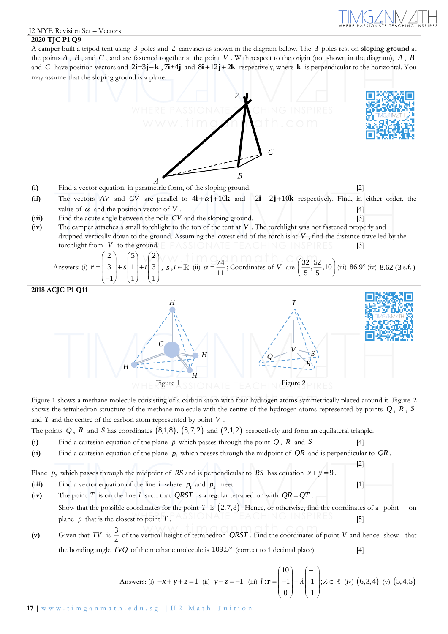[2]

#### J2 MYE Revision Set – Vectors

### **2020 TJC P1 Q9**

A camper built a tripod tent using 3 poles and 2 canvases as shown in the diagram below. The 3 poles rest on **sloping ground** at the points  $A$ ,  $B$ , and  $C$ , and are fastened together at the point  $V$ . With respect to the origin (not shown in the diagram),  $A$ ,  $B$ and C have position vectors and  $2i+3j-k$ ,  $7i+4j$  and  $8i+12j+2k$  respectively, where k is perpendicular to the horizontal. You may assume that the sloping ground is a plane.



- (ii) The vectors AV and CV are parallel to  $4\mathbf{i} + \alpha \mathbf{j} + 10\mathbf{k}$  and  $-2\mathbf{i} 2\mathbf{j} + 10\mathbf{k}$  respectively. Find, in either order, the value of  $\alpha$  and the position vector of  $V$  .  $\bigcup$   $\bigcup$   $\bigcup$   $\bigcup$   $\bigcup$   $\bigcup$   $\bigcup$   $\bigcap$   $\bigcap$   $\bigcap$   $\bigcap$   $\bigcap$   $\bigcap$   $\bigcap$   $\bigcap$   $\bigcap$   $\bigcap$   $\bigcap$   $\bigcap$   $\bigcap$   $\bigcap$   $\bigcap$   $\bigcap$   $\bigcap$   $\bigcap$   $\bigcap$   $\bigcap$   $\bigcap$   $\bigcap$   $\bigcap$   $\bigcap$   $\bigcap$   $\bigcap$   $\bigcap$   $\bigcap$   $\bigcap$
- **(iii)** Find the acute angle between the pole CV and the sloping ground. [3]
- **(iv)** The camper attaches a small torchlight to the top of the tent at *V* . The torchlight was not fastened properly and dropped vertically down to the ground. Assuming the lowest end of the torch is at *V* , find the distance travelled by the torchlight from *V* PASSIONATE TEACHING INSPIRES [3]

Answers: (i) 
$$
\mathbf{r} = \begin{pmatrix} 2 \\ 3 \\ -1 \end{pmatrix} + s \begin{pmatrix} 5 \\ 1 \\ 1 \end{pmatrix} + t \begin{pmatrix} 2 \\ 3 \\ 1 \end{pmatrix}, s, t \in \mathbb{R}
$$
 (ii)  $\alpha = \frac{74}{11}$ ; Coordinates of V are  $\left(\frac{32}{5}, \frac{52}{5}, 10\right)$  (iii) 86.9° (iv) 8.62 (3 s.f.)



Figure 1 shows a methane molecule consisting of a carbon atom with four hydrogen atoms symmetrically placed around it. Figure 2 shows the tetrahedron structure of the methane molecule with the centre of the hydrogen atoms represented by points *Q* , *<sup>R</sup>* , *<sup>S</sup>* and  $T$  and the centre of the carbon atom represented by point  $V$ .

- The points  $Q$ ,  $R$  and  $S$  has coordinates  $(8,1,8)$ ,  $(8,7,2)$  and  $(2,1,2)$  respectively and form an equilateral triangle.
- (i) Find a cartesian equation of the plane  $p$  which passes through the point  $Q$ ,  $R$  and  $S$ . [4]
- (ii) Find a cartesian equation of the plane  $p_1$  which passes through the midpoint of  $QR$  and is perpendicular to  $QR$ .
- Plane  $p_2$  which passes through the midpoint of *RS* and is perpendicular to *RS* has equation  $x + y = 9$ .
- (iii) Find a vector equation of the line *l* where  $p_1$  and  $p_2$  meet. [1]
- (iv) The point T is on the line l such that *QRST* is a regular tetrahedron with  $QR = QT$ . Show that the possible coordinates for the point  $T$  is  $(2,7,8)$ . Hence, or otherwise, find the coordinates of a point on plane  $p$  that is the closest to point  $T$  . Thus in the transformation  $\begin{bmatrix} 5 \end{bmatrix}$

(v) Given that TV is  $\frac{3}{4}$  $\frac{4}{4}$  of the vertical height of tetrahedron *QRST*. Find the coordinates of point V and hence show that the bonding angle  $TVQ$  of the methane molecule is  $109.5^{\circ}$  (correct to 1 decimal place). [4]

Answers: (i) 
$$
-x + y + z = 1
$$
 (ii)  $y - z = -1$  (iii)  $l : \mathbf{r} = \begin{pmatrix} 10 \\ -1 \\ 0 \end{pmatrix} + \lambda \begin{pmatrix} -1 \\ 1 \\ 1 \end{pmatrix}; \lambda \in \mathbb{R}$  (iv) (6, 3, 4) (v) (5, 4, 5)